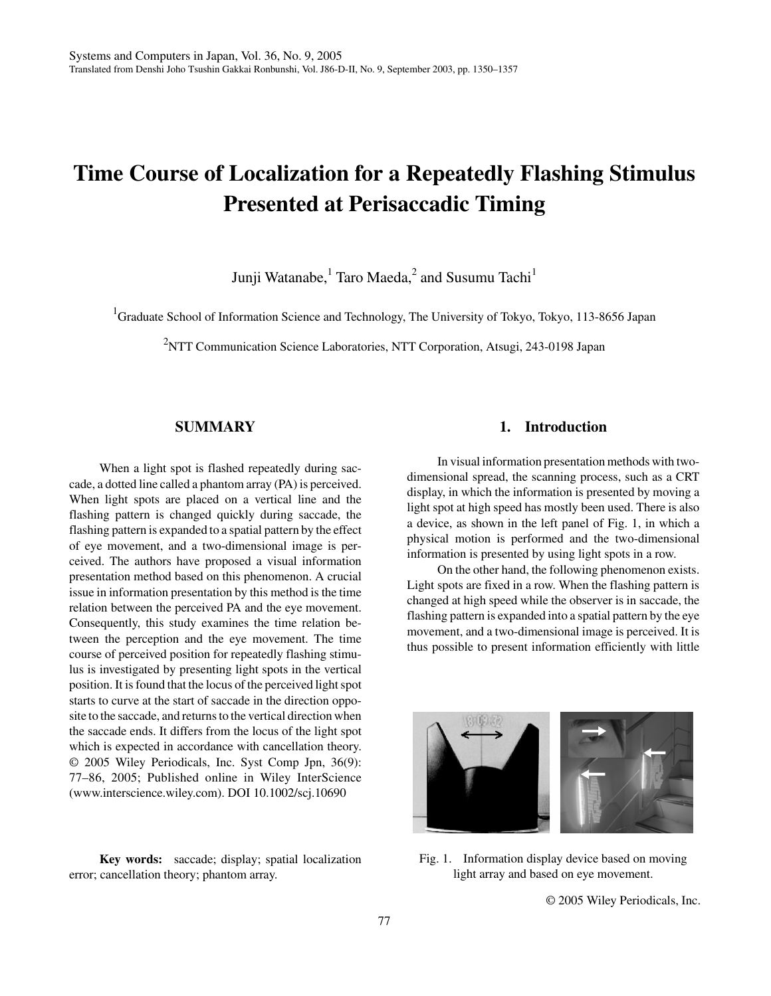# **Time Course of Localization for a Repeatedly Flashing Stimulus Presented at Perisaccadic Timing**

Junji Watanabe, $^{\rm 1}$  Taro Maeda, $^{\rm 2}$  and Susumu Tachi $^{\rm 1}$ 

<sup>1</sup>Graduate School of Information Science and Technology, The University of Tokyo, Tokyo, 113-8656 Japan

<sup>2</sup>NTT Communication Science Laboratories, NTT Corporation, Atsugi, 243-0198 Japan

### **SUMMARY**

When a light spot is flashed repeatedly during saccade, a dotted line called a phantom array (PA) is perceived. When light spots are placed on a vertical line and the flashing pattern is changed quickly during saccade, the flashing pattern is expanded to a spatial pattern by the effect of eye movement, and a two-dimensional image is perceived. The authors have proposed a visual information presentation method based on this phenomenon. A crucial issue in information presentation by this method is the time relation between the perceived PA and the eye movement. Consequently, this study examines the time relation between the perception and the eye movement. The time course of perceived position for repeatedly flashing stimulus is investigated by presenting light spots in the vertical position. It is found that the locus of the perceived light spot starts to curve at the start of saccade in the direction opposite to the saccade, and returns to the vertical direction when the saccade ends. It differs from the locus of the light spot which is expected in accordance with cancellation theory. © 2005 Wiley Periodicals, Inc. Syst Comp Jpn, 36(9): 77–86, 2005; Published online in Wiley InterScience (www.interscience.wiley.com). DOI 10.1002/scj.10690

**Key words:** saccade; display; spatial localization error; cancellation theory; phantom array.

### **1. Introduction**

In visual information presentation methods with twodimensional spread, the scanning process, such as a CRT display, in which the information is presented by moving a light spot at high speed has mostly been used. There is also a device, as shown in the left panel of Fig. 1, in which a physical motion is performed and the two-dimensional information is presented by using light spots in a row.

On the other hand, the following phenomenon exists. Light spots are fixed in a row. When the flashing pattern is changed at high speed while the observer is in saccade, the flashing pattern is expanded into a spatial pattern by the eye movement, and a two-dimensional image is perceived. It is thus possible to present information efficiently with little



Fig. 1. Information display device based on moving light array and based on eye movement.

© 2005 Wiley Periodicals, Inc.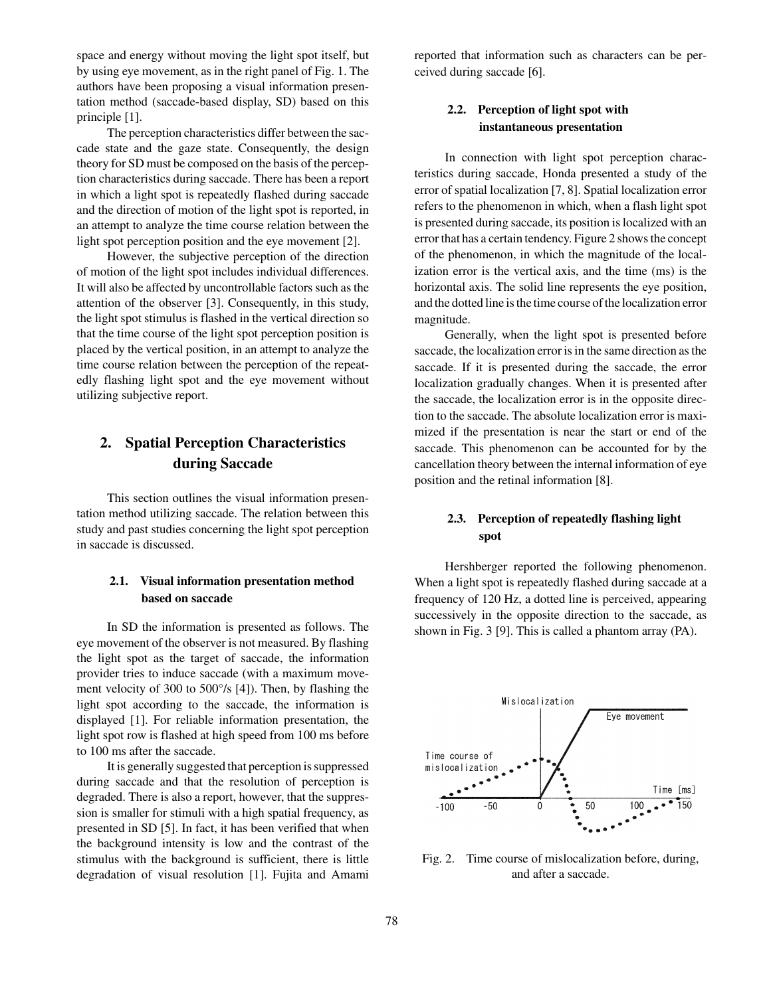space and energy without moving the light spot itself, but by using eye movement, as in the right panel of Fig. 1. The authors have been proposing a visual information presentation method (saccade-based display, SD) based on this principle [1].

The perception characteristics differ between the saccade state and the gaze state. Consequently, the design theory for SD must be composed on the basis of the perception characteristics during saccade. There has been a report in which a light spot is repeatedly flashed during saccade and the direction of motion of the light spot is reported, in an attempt to analyze the time course relation between the light spot perception position and the eye movement [2].

However, the subjective perception of the direction of motion of the light spot includes individual differences. It will also be affected by uncontrollable factors such as the attention of the observer [3]. Consequently, in this study, the light spot stimulus is flashed in the vertical direction so that the time course of the light spot perception position is placed by the vertical position, in an attempt to analyze the time course relation between the perception of the repeatedly flashing light spot and the eye movement without utilizing subjective report.

# **2. Spatial Perception Characteristics during Saccade**

This section outlines the visual information presentation method utilizing saccade. The relation between this study and past studies concerning the light spot perception in saccade is discussed.

### **2.1. Visual information presentation method based on saccade**

In SD the information is presented as follows. The eye movement of the observer is not measured. By flashing the light spot as the target of saccade, the information provider tries to induce saccade (with a maximum movement velocity of 300 to 500°/s [4]). Then, by flashing the light spot according to the saccade, the information is displayed [1]. For reliable information presentation, the light spot row is flashed at high speed from 100 ms before to 100 ms after the saccade.

It is generally suggested that perception is suppressed during saccade and that the resolution of perception is degraded. There is also a report, however, that the suppression is smaller for stimuli with a high spatial frequency, as presented in SD [5]. In fact, it has been verified that when the background intensity is low and the contrast of the stimulus with the background is sufficient, there is little degradation of visual resolution [1]. Fujita and Amami reported that information such as characters can be perceived during saccade [6].

# **2.2. Perception of light spot with instantaneous presentation**

In connection with light spot perception characteristics during saccade, Honda presented a study of the error of spatial localization [7, 8]. Spatial localization error refers to the phenomenon in which, when a flash light spot is presented during saccade, its position is localized with an error that has a certain tendency. Figure 2 shows the concept of the phenomenon, in which the magnitude of the localization error is the vertical axis, and the time (ms) is the horizontal axis. The solid line represents the eye position, and the dotted line is the time course of the localization error magnitude.

Generally, when the light spot is presented before saccade, the localization error is in the same direction as the saccade. If it is presented during the saccade, the error localization gradually changes. When it is presented after the saccade, the localization error is in the opposite direction to the saccade. The absolute localization error is maximized if the presentation is near the start or end of the saccade. This phenomenon can be accounted for by the cancellation theory between the internal information of eye position and the retinal information [8].

# **2.3. Perception of repeatedly flashing light spot**

Hershberger reported the following phenomenon. When a light spot is repeatedly flashed during saccade at a frequency of 120 Hz, a dotted line is perceived, appearing successively in the opposite direction to the saccade, as shown in Fig. 3 [9]. This is called a phantom array (PA).



Fig. 2. Time course of mislocalization before, during, and after a saccade.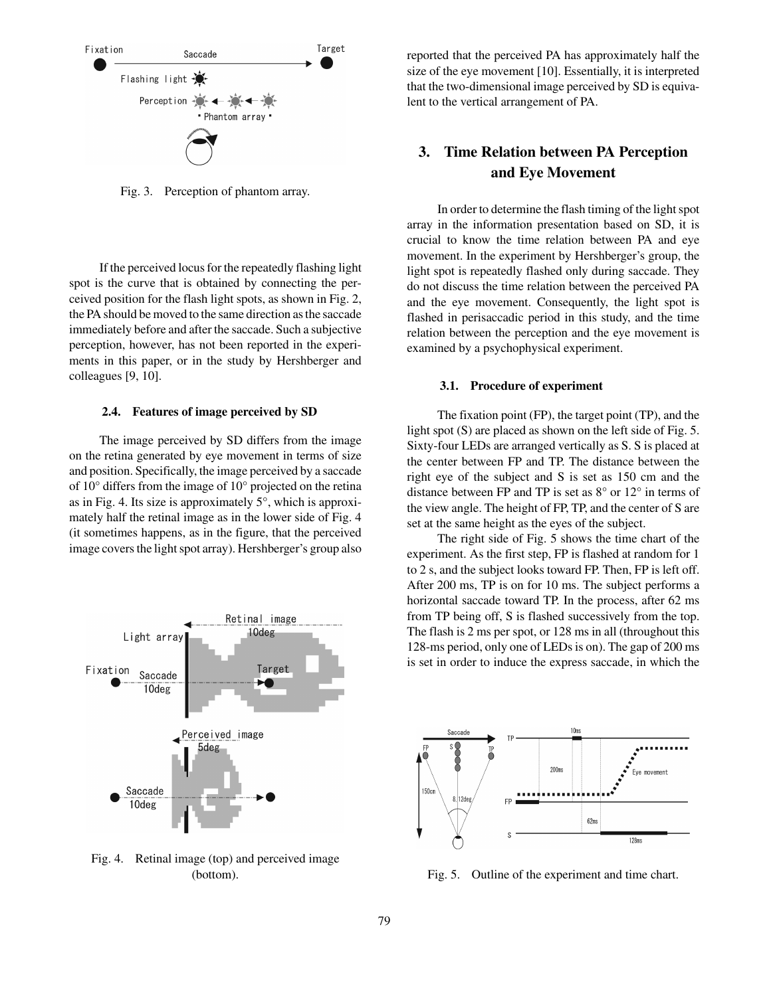

Fig. 3. Perception of phantom array.

If the perceived locus for the repeatedly flashing light spot is the curve that is obtained by connecting the perceived position for the flash light spots, as shown in Fig. 2, the PA should be moved to the same direction as the saccade immediately before and after the saccade. Such a subjective perception, however, has not been reported in the experiments in this paper, or in the study by Hershberger and colleagues [9, 10].

#### **2.4. Features of image perceived by SD**

The image perceived by SD differs from the image on the retina generated by eye movement in terms of size and position. Specifically, the image perceived by a saccade of 10° differs from the image of 10° projected on the retina as in Fig. 4. Its size is approximately 5°, which is approximately half the retinal image as in the lower side of Fig. 4 (it sometimes happens, as in the figure, that the perceived image covers the light spot array). Hershberger's group also



Fig. 4. Retinal image (top) and perceived image

reported that the perceived PA has approximately half the size of the eye movement [10]. Essentially, it is interpreted that the two-dimensional image perceived by SD is equivalent to the vertical arrangement of PA.

# **3. Time Relation between PA Perception and Eye Movement**

In order to determine the flash timing of the light spot array in the information presentation based on SD, it is crucial to know the time relation between PA and eye movement. In the experiment by Hershberger's group, the light spot is repeatedly flashed only during saccade. They do not discuss the time relation between the perceived PA and the eye movement. Consequently, the light spot is flashed in perisaccadic period in this study, and the time relation between the perception and the eye movement is examined by a psychophysical experiment.

#### **3.1. Procedure of experiment**

The fixation point (FP), the target point (TP), and the light spot (S) are placed as shown on the left side of Fig. 5. Sixty-four LEDs are arranged vertically as S. S is placed at the center between FP and TP. The distance between the right eye of the subject and S is set as 150 cm and the distance between FP and TP is set as 8° or 12° in terms of the view angle. The height of FP, TP, and the center of S are set at the same height as the eyes of the subject.

The right side of Fig. 5 shows the time chart of the experiment. As the first step, FP is flashed at random for 1 to 2 s, and the subject looks toward FP. Then, FP is left off. After 200 ms, TP is on for 10 ms. The subject performs a horizontal saccade toward TP. In the process, after 62 ms from TP being off, S is flashed successively from the top. The flash is 2 ms per spot, or 128 ms in all (throughout this 128-ms period, only one of LEDs is on). The gap of 200 ms is set in order to induce the express saccade, in which the



(bottom). Fig. 5. Outline of the experiment and time chart.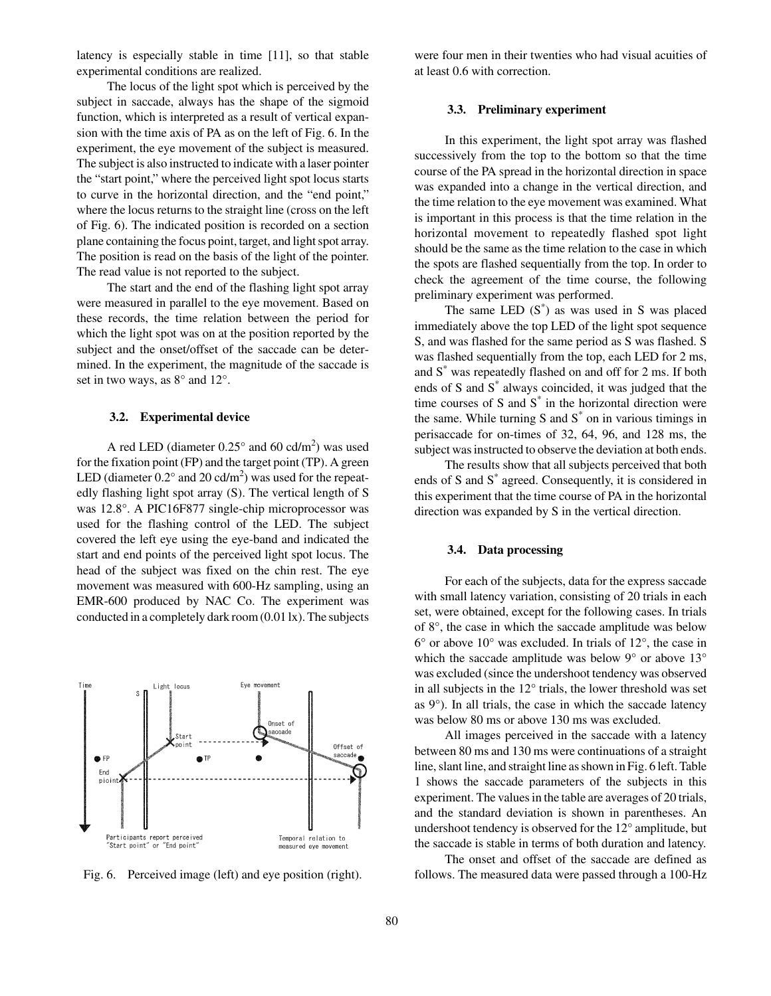latency is especially stable in time [11], so that stable experimental conditions are realized.

The locus of the light spot which is perceived by the subject in saccade, always has the shape of the sigmoid function, which is interpreted as a result of vertical expansion with the time axis of PA as on the left of Fig. 6. In the experiment, the eye movement of the subject is measured. The subject is also instructed to indicate with a laser pointer the "start point," where the perceived light spot locus starts to curve in the horizontal direction, and the "end point," where the locus returns to the straight line (cross on the left of Fig. 6). The indicated position is recorded on a section plane containing the focus point, target, and light spot array. The position is read on the basis of the light of the pointer. The read value is not reported to the subject.

The start and the end of the flashing light spot array were measured in parallel to the eye movement. Based on these records, the time relation between the period for which the light spot was on at the position reported by the subject and the onset/offset of the saccade can be determined. In the experiment, the magnitude of the saccade is set in two ways, as 8° and 12°.

#### **3.2. Experimental device**

A red LED (diameter  $0.25^{\circ}$  and  $60 \text{ cd/m}^2$ ) was used for the fixation point (FP) and the target point (TP). A green LED (diameter  $0.2^{\circ}$  and  $20$  cd/m<sup>2</sup>) was used for the repeatedly flashing light spot array (S). The vertical length of S was 12.8°. A PIC16F877 single-chip microprocessor was used for the flashing control of the LED. The subject covered the left eye using the eye-band and indicated the start and end points of the perceived light spot locus. The head of the subject was fixed on the chin rest. The eye movement was measured with 600-Hz sampling, using an EMR-600 produced by NAC Co. The experiment was conducted in a completely dark room (0.01 lx). The subjects



were four men in their twenties who had visual acuities of at least 0.6 with correction.

#### **3.3. Preliminary experiment**

In this experiment, the light spot array was flashed successively from the top to the bottom so that the time course of the PA spread in the horizontal direction in space was expanded into a change in the vertical direction, and the time relation to the eye movement was examined. What is important in this process is that the time relation in the horizontal movement to repeatedly flashed spot light should be the same as the time relation to the case in which the spots are flashed sequentially from the top. In order to check the agreement of the time course, the following preliminary experiment was performed.

The same LED  $(S^*)$  as was used in S was placed immediately above the top LED of the light spot sequence S, and was flashed for the same period as S was flashed. S was flashed sequentially from the top, each LED for 2 ms, and S\* was repeatedly flashed on and off for 2 ms. If both ends of S and S<sup>\*</sup> always coincided, it was judged that the time courses of S and  $S^*$  in the horizontal direction were the same. While turning S and  $S^*$  on in various timings in perisaccade for on-times of 32, 64, 96, and 128 ms, the subject was instructed to observe the deviation at both ends.

The results show that all subjects perceived that both ends of S and S<sup>\*</sup> agreed. Consequently, it is considered in this experiment that the time course of PA in the horizontal direction was expanded by S in the vertical direction.

#### **3.4. Data processing**

For each of the subjects, data for the express saccade with small latency variation, consisting of 20 trials in each set, were obtained, except for the following cases. In trials of 8°, the case in which the saccade amplitude was below 6° or above 10° was excluded. In trials of 12°, the case in which the saccade amplitude was below 9° or above 13° was excluded (since the undershoot tendency was observed in all subjects in the 12° trials, the lower threshold was set as 9°). In all trials, the case in which the saccade latency was below 80 ms or above 130 ms was excluded.

All images perceived in the saccade with a latency between 80 ms and 130 ms were continuations of a straight line, slant line, and straight line as shown in Fig. 6 left. Table 1 shows the saccade parameters of the subjects in this experiment. The values in the table are averages of 20 trials, and the standard deviation is shown in parentheses. An undershoot tendency is observed for the 12° amplitude, but the saccade is stable in terms of both duration and latency.

The onset and offset of the saccade are defined as Fig. 6. Perceived image (left) and eye position (right). follows. The measured data were passed through a 100-Hz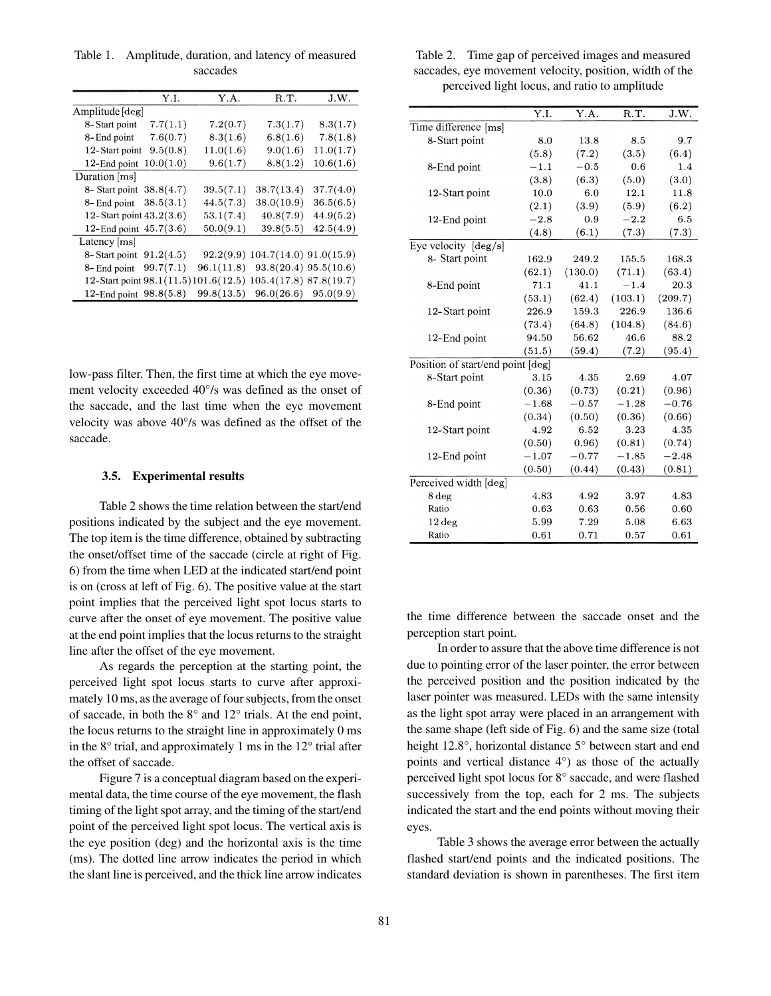Table 1. Amplitude, duration, and latency of measured saccades

|                            | Y.I.      | Y.A.                                                        | R.T.                                 | J.W.      |
|----------------------------|-----------|-------------------------------------------------------------|--------------------------------------|-----------|
| Amplitude [deg]            |           |                                                             |                                      |           |
| 8-Start point              | 7.7(1.1)  | 7.2(0.7)                                                    | 7.3(1.7)                             | 8.3(1.7)  |
| 8-End point                | 7.6(0.7)  | 8.3(1.6)                                                    | 6.8(1.6)                             | 7.8(1.8)  |
| 12-Start point             | 9.5(0.8)  | 11.0(1.6)                                                   | 9.0(1.6)                             | 11.0(1.7) |
| 12-End point               | 10.0(1.0) | 9.6(1.7)                                                    | 8.8(1.2)                             | 10.6(1.6) |
| Duration [ms]              |           |                                                             |                                      |           |
| 8- Start point 38.8(4.7)   |           | 39.5(7.1)                                                   | 38.7(13.4)                           | 37.7(4.0) |
| 8-End point                | 38.5(3.1) | 44.5(7.3)                                                   | 38.0(10.9)                           | 36.5(6.5) |
| 12-Start point 43.2(3.6)   |           | 53.1(7.4)                                                   | 40.8(7.9)                            | 44.9(5.2) |
| 12-End point $45.7(3.6)$   |           | 50.0(9.1)                                                   | 39.8(5.5)                            | 42.5(4.9) |
| Latency [ms]               |           |                                                             |                                      |           |
| 8- Start point $91.2(4.5)$ |           |                                                             | $92.2(9.9)$ 104.7(14.0) $91.0(15.9)$ |           |
| 8- End point               | 99.7(7.1) | 96.1(11.8)                                                  | $93.8(20.4)$ $95.5(10.6)$            |           |
|                            |           | 12-Start point 98.1(11.5)101.6(12.5) 105.4(17.8) 87.8(19.7) |                                      |           |
| 12-End point 98.8(5.8)     |           | 99.8(13.5)                                                  | 96.0(26.6)                           | 95.0(9.9) |

low-pass filter. Then, the first time at which the eye movement velocity exceeded 40°/s was defined as the onset of the saccade, and the last time when the eye movement velocity was above 40°/s was defined as the offset of the saccade.

#### **3.5. Experimental results**

Table 2 shows the time relation between the start/end positions indicated by the subject and the eye movement. The top item is the time difference, obtained by subtracting the onset/offset time of the saccade (circle at right of Fig. 6) from the time when LED at the indicated start/end point is on (cross at left of Fig. 6). The positive value at the start point implies that the perceived light spot locus starts to curve after the onset of eye movement. The positive value at the end point implies that the locus returns to the straight line after the offset of the eye movement.

As regards the perception at the starting point, the perceived light spot locus starts to curve after approximately 10 ms, as the average of four subjects, from the onset of saccade, in both the 8° and 12° trials. At the end point, the locus returns to the straight line in approximately 0 ms in the 8° trial, and approximately 1 ms in the 12° trial after the offset of saccade.

Figure 7 is a conceptual diagram based on the experimental data, the time course of the eye movement, the flash timing of the light spot array, and the timing of the start/end point of the perceived light spot locus. The vertical axis is the eye position (deg) and the horizontal axis is the time (ms). The dotted line arrow indicates the period in which the slant line is perceived, and the thick line arrow indicates

Table 2. Time gap of perceived images and measured saccades, eye movement velocity, position, width of the perceived light locus, and ratio to amplitude

|                                   | Y.I.    | Y.A.    | $R.\overline{T}$ . | J.W.    |
|-----------------------------------|---------|---------|--------------------|---------|
| Time difference [ms]              |         |         |                    |         |
| 8-Start point                     | 8.0     | 13.8    | 8.5                | 9.7     |
|                                   | (5.8)   | (7.2)   | (3.5)              | (6.4)   |
| 8-End point                       | $-1.1$  | $-0.5$  | 0.6                | 1.4     |
|                                   | (3.8)   | (6.3)   | (5.0)              | (3.0)   |
| 12-Start point                    | 10.0    | 6.0     | 12.1               | 11.8    |
|                                   | (2.1)   | (3.9)   | (5.9)              | (6.2)   |
| 12-End point                      | $-2.8$  | 0.9     | $-2.2$             | 6.5     |
|                                   | (4.8)   | (6.1)   | (7.3)              | (7.3)   |
| Eye velocity $[deg/s]$            |         |         |                    |         |
| 8- Start point                    | 162.9   | 249.2   | 155.5              | 168.3   |
|                                   | (62.1)  | (130.0) | (71.1)             | (63.4)  |
| 8-End point                       | 71.1    | 41.1    | $-1.4$             | 20.3    |
|                                   | (53.1)  | (62.4)  | (103.1)            | (209.7) |
| 12-Start point                    | 226.9   | 159.3   | 226.9              | 136.6   |
|                                   | (73.4)  | (64.8)  | (104.8)            | (84.6)  |
| 12-End point                      | 94.50   | 56.62   | 46.6               | 88.2    |
|                                   | (51.5)  | (59.4)  | (7.2)              | (95.4)  |
| Position of start/end point [deg] |         |         |                    |         |
| 8-Start point                     | 3.15    | 4.35    | 2.69               | 4.07    |
|                                   | (0.36)  | (0.73)  | (0.21)             | (0.96)  |
| 8-End point                       | $-1.68$ | $-0.57$ | $-1.28$            | $-0.76$ |
|                                   | (0.34)  | (0.50)  | (0.36)             | (0.66)  |
| 12-Start point                    | 4.92    | 6.52    | 3.23               | 4.35    |
|                                   | (0.50)  | 0.96)   | (0.81)             | (0.74)  |
| 12-End point                      | $-1.07$ | $-0.77$ | $-1.85$            | $-2.48$ |
|                                   | (0.50)  | (0.44)  | (0.43)             | (0.81)  |
| Perceived width [deg]             |         |         |                    |         |
| 8 deg                             | 4.83    | 4.92    | 3.97               | 4.83    |
| Ratio                             | 0.63    | 0.63    | 0.56               | 0.60    |
| $12 \deg$                         | 5.99    | 7.29    | 5.08               | 6.63    |
| Ratio                             | 0.61    | 0.71    | 0.57               | 0.61    |

the time difference between the saccade onset and the perception start point.

In order to assure that the above time difference is not due to pointing error of the laser pointer, the error between the perceived position and the position indicated by the laser pointer was measured. LEDs with the same intensity as the light spot array were placed in an arrangement with the same shape (left side of Fig. 6) and the same size (total height 12.8°, horizontal distance 5° between start and end points and vertical distance 4°) as those of the actually perceived light spot locus for 8° saccade, and were flashed successively from the top, each for 2 ms. The subjects indicated the start and the end points without moving their eyes.

Table 3 shows the average error between the actually flashed start/end points and the indicated positions. The standard deviation is shown in parentheses. The first item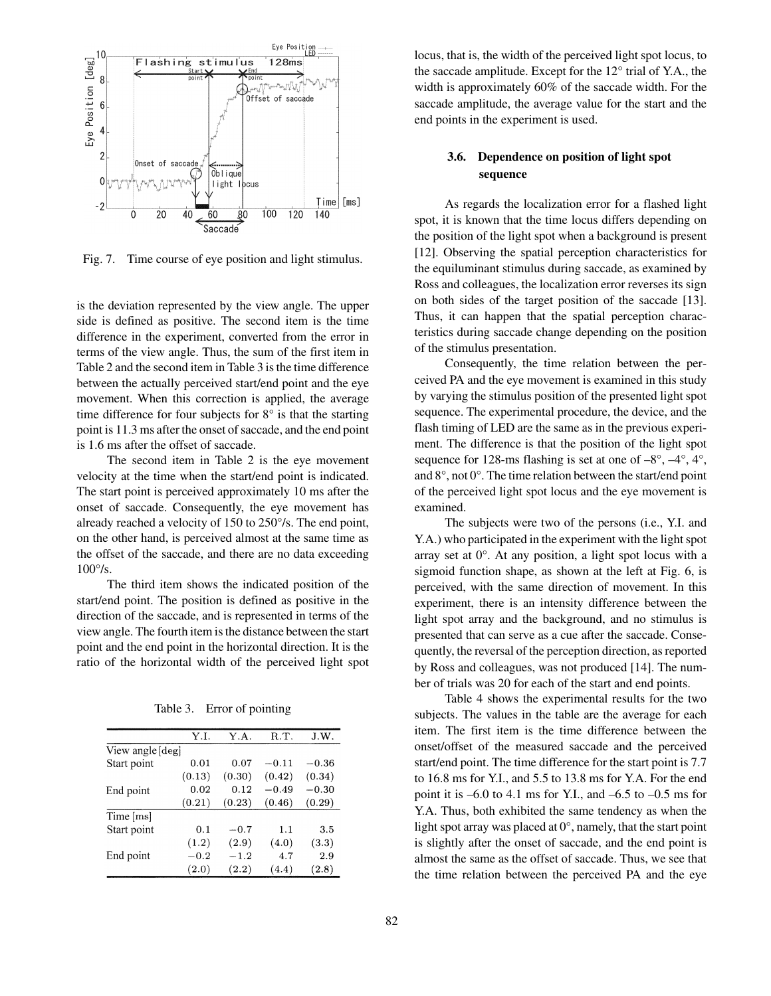

Fig. 7. Time course of eye position and light stimulus.

is the deviation represented by the view angle. The upper side is defined as positive. The second item is the time difference in the experiment, converted from the error in terms of the view angle. Thus, the sum of the first item in Table 2 and the second item in Table 3 is the time difference between the actually perceived start/end point and the eye movement. When this correction is applied, the average time difference for four subjects for 8° is that the starting point is 11.3 ms after the onset of saccade, and the end point is 1.6 ms after the offset of saccade.

The second item in Table 2 is the eye movement velocity at the time when the start/end point is indicated. The start point is perceived approximately 10 ms after the onset of saccade. Consequently, the eye movement has already reached a velocity of 150 to 250°/s. The end point, on the other hand, is perceived almost at the same time as the offset of the saccade, and there are no data exceeding 100°/s.

The third item shows the indicated position of the start/end point. The position is defined as positive in the direction of the saccade, and is represented in terms of the view angle. The fourth item is the distance between the start point and the end point in the horizontal direction. It is the ratio of the horizontal width of the perceived light spot

| Table 3. Error of pointing |
|----------------------------|
|                            |

|                  | Y.I.   | Y.A.   | R.T.    | J.W.    |
|------------------|--------|--------|---------|---------|
| View angle [deg] |        |        |         |         |
| Start point      | 0.01   | 0.07   | $-0.11$ | $-0.36$ |
|                  | (0.13) | (0.30) | (0.42)  | (0.34)  |
| End point        | 0.02   | 0.12   | $-0.49$ | $-0.30$ |
|                  | (0.21) | (0.23) | (0.46)  | (0.29)  |
| Time [ms]        |        |        |         |         |
| Start point      | 0.1    | $-0.7$ | 1.1     | 3.5     |
|                  | (1.2)  | (2.9)  | (4.0)   | (3.3)   |
| End point        | $-0.2$ | $-1.2$ | 4.7     | 2.9     |
|                  | (2.0)  | (2.2)  | (4.4)   | (2.8)   |

locus, that is, the width of the perceived light spot locus, to the saccade amplitude. Except for the 12° trial of Y.A., the width is approximately 60% of the saccade width. For the saccade amplitude, the average value for the start and the end points in the experiment is used.

### **3.6. Dependence on position of light spot sequence**

As regards the localization error for a flashed light spot, it is known that the time locus differs depending on the position of the light spot when a background is present [12]. Observing the spatial perception characteristics for the equiluminant stimulus during saccade, as examined by Ross and colleagues, the localization error reverses its sign on both sides of the target position of the saccade [13]. Thus, it can happen that the spatial perception characteristics during saccade change depending on the position of the stimulus presentation.

Consequently, the time relation between the perceived PA and the eye movement is examined in this study by varying the stimulus position of the presented light spot sequence. The experimental procedure, the device, and the flash timing of LED are the same as in the previous experiment. The difference is that the position of the light spot sequence for 128-ms flashing is set at one of  $-8^{\circ}$ ,  $-4^{\circ}$ ,  $4^{\circ}$ , and 8°, not 0°. The time relation between the start/end point of the perceived light spot locus and the eye movement is examined.

The subjects were two of the persons (i.e., Y.I. and Y.A.) who participated in the experiment with the light spot array set at 0°. At any position, a light spot locus with a sigmoid function shape, as shown at the left at Fig. 6, is perceived, with the same direction of movement. In this experiment, there is an intensity difference between the light spot array and the background, and no stimulus is presented that can serve as a cue after the saccade. Consequently, the reversal of the perception direction, as reported by Ross and colleagues, was not produced [14]. The number of trials was 20 for each of the start and end points.

Table 4 shows the experimental results for the two subjects. The values in the table are the average for each item. The first item is the time difference between the onset/offset of the measured saccade and the perceived start/end point. The time difference for the start point is 7.7 to 16.8 ms for Y.I., and 5.5 to 13.8 ms for Y.A. For the end point it is  $-6.0$  to 4.1 ms for Y.I., and  $-6.5$  to  $-0.5$  ms for Y.A. Thus, both exhibited the same tendency as when the light spot array was placed at  $0^\circ$ , namely, that the start point is slightly after the onset of saccade, and the end point is almost the same as the offset of saccade. Thus, we see that the time relation between the perceived PA and the eye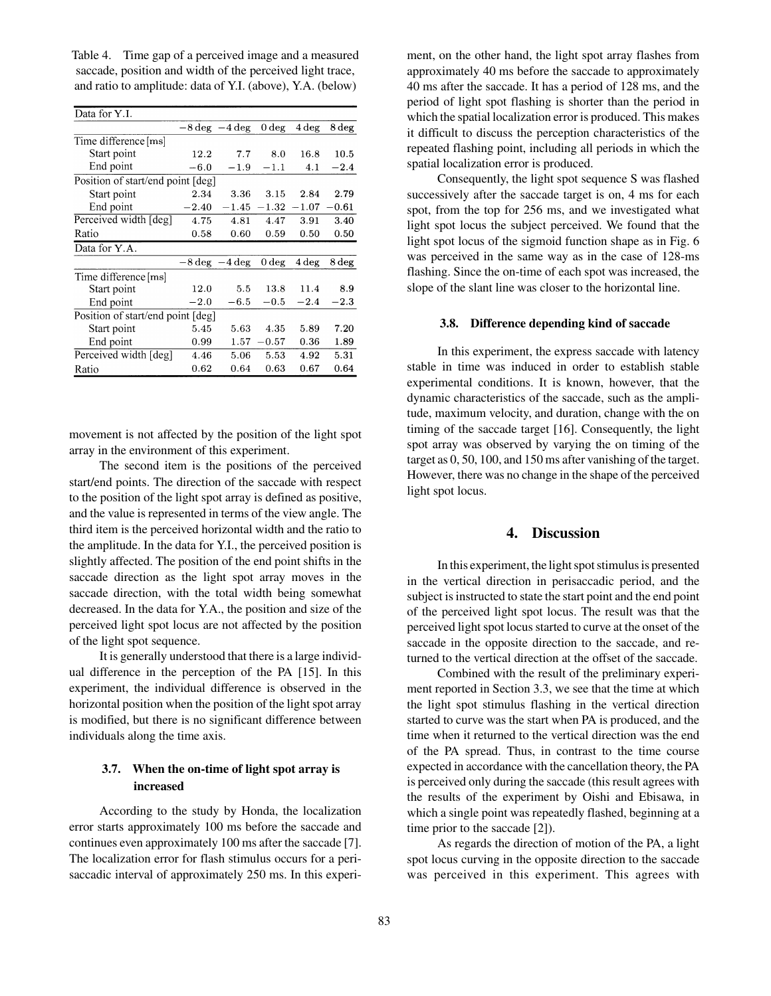Table 4. Time gap of a perceived image and a measured saccade, position and width of the perceived light trace, and ratio to amplitude: data of Y.I. (above), Y.A. (below)

| Data for Y.I.                     |                                  |                                  |                  |         |         |
|-----------------------------------|----------------------------------|----------------------------------|------------------|---------|---------|
|                                   | $-8 \text{ deg } -4 \text{ deg}$ |                                  | 0 <sub>deg</sub> | $4\deg$ | 8 deg   |
| Time difference [ms]              |                                  |                                  |                  |         |         |
| Start point                       | 12.2                             | 7.7                              | 8.0              | 16.8    | 10.5    |
| End point                         | $-6.0$                           | $-1.9$                           | $-1.1$           | 4.1     | $-2.4$  |
| Position of start/end point [deg] |                                  |                                  |                  |         |         |
| Start point                       | 2.34                             | 3.36                             | 3.15             | 2.84    | 2.79    |
| End point                         | $-2.40$                          | $-1.45$                          | $-1.32$          | $-1.07$ | $-0.61$ |
| Perceived width [deg]             | 4.75                             | 4.81                             | 4.47             | 3.91    | 3.40    |
| Ratio                             | 0.58                             | 0.60                             | 0.59             | 0.50    | 0.50    |
| Data for Y.A.                     |                                  |                                  |                  |         |         |
|                                   |                                  | $-8 \text{ deg } -4 \text{ deg}$ | 0 <sub>deg</sub> | 4 deg   | 8 deg   |
| Time difference [ms]              |                                  |                                  |                  |         |         |
| Start point                       | 12.0                             | 5.5                              | 13.8             | 11.4    | 8.9     |
| End point                         | $-2.0$                           | $-6.5$                           | $-0.5$           | $-2.4$  | $-2.3$  |
| Position of start/end point [deg] |                                  |                                  |                  |         |         |
| Start point                       | 5.45                             | 5.63                             | 4.35             | 5.89    | 7.20    |
| End point                         | 0.99                             | 1.57                             | $-0.57$          | 0.36    | 1.89    |
| Perceived width [deg]             | 4.46                             | 5.06                             | 5.53             | 4.92    | 5.31    |
| Ratio                             | $_{0.62}$                        | 0.64                             | 0.63             | 0.67    | 0.64    |
|                                   |                                  |                                  |                  |         |         |

movement is not affected by the position of the light spot array in the environment of this experiment.

The second item is the positions of the perceived start/end points. The direction of the saccade with respect to the position of the light spot array is defined as positive, and the value is represented in terms of the view angle. The third item is the perceived horizontal width and the ratio to the amplitude. In the data for Y.I., the perceived position is slightly affected. The position of the end point shifts in the saccade direction as the light spot array moves in the saccade direction, with the total width being somewhat decreased. In the data for Y.A., the position and size of the perceived light spot locus are not affected by the position of the light spot sequence.

It is generally understood that there is a large individual difference in the perception of the PA [15]. In this experiment, the individual difference is observed in the horizontal position when the position of the light spot array is modified, but there is no significant difference between individuals along the time axis.

### **3.7. When the on-time of light spot array is increased**

According to the study by Honda, the localization error starts approximately 100 ms before the saccade and continues even approximately 100 ms after the saccade [7]. The localization error for flash stimulus occurs for a perisaccadic interval of approximately 250 ms. In this experiment, on the other hand, the light spot array flashes from approximately 40 ms before the saccade to approximately 40 ms after the saccade. It has a period of 128 ms, and the period of light spot flashing is shorter than the period in which the spatial localization error is produced. This makes it difficult to discuss the perception characteristics of the repeated flashing point, including all periods in which the spatial localization error is produced.

Consequently, the light spot sequence S was flashed successively after the saccade target is on, 4 ms for each spot, from the top for 256 ms, and we investigated what light spot locus the subject perceived. We found that the light spot locus of the sigmoid function shape as in Fig. 6 was perceived in the same way as in the case of 128-ms flashing. Since the on-time of each spot was increased, the slope of the slant line was closer to the horizontal line.

#### **3.8. Difference depending kind of saccade**

In this experiment, the express saccade with latency stable in time was induced in order to establish stable experimental conditions. It is known, however, that the dynamic characteristics of the saccade, such as the amplitude, maximum velocity, and duration, change with the on timing of the saccade target [16]. Consequently, the light spot array was observed by varying the on timing of the target as 0, 50, 100, and 150 ms after vanishing of the target. However, there was no change in the shape of the perceived light spot locus.

### **4. Discussion**

In this experiment, the light spot stimulus is presented in the vertical direction in perisaccadic period, and the subject is instructed to state the start point and the end point of the perceived light spot locus. The result was that the perceived light spot locus started to curve at the onset of the saccade in the opposite direction to the saccade, and returned to the vertical direction at the offset of the saccade.

Combined with the result of the preliminary experiment reported in Section 3.3, we see that the time at which the light spot stimulus flashing in the vertical direction started to curve was the start when PA is produced, and the time when it returned to the vertical direction was the end of the PA spread. Thus, in contrast to the time course expected in accordance with the cancellation theory, the PA is perceived only during the saccade (this result agrees with the results of the experiment by Oishi and Ebisawa, in which a single point was repeatedly flashed, beginning at a time prior to the saccade [2]).

As regards the direction of motion of the PA, a light spot locus curving in the opposite direction to the saccade was perceived in this experiment. This agrees with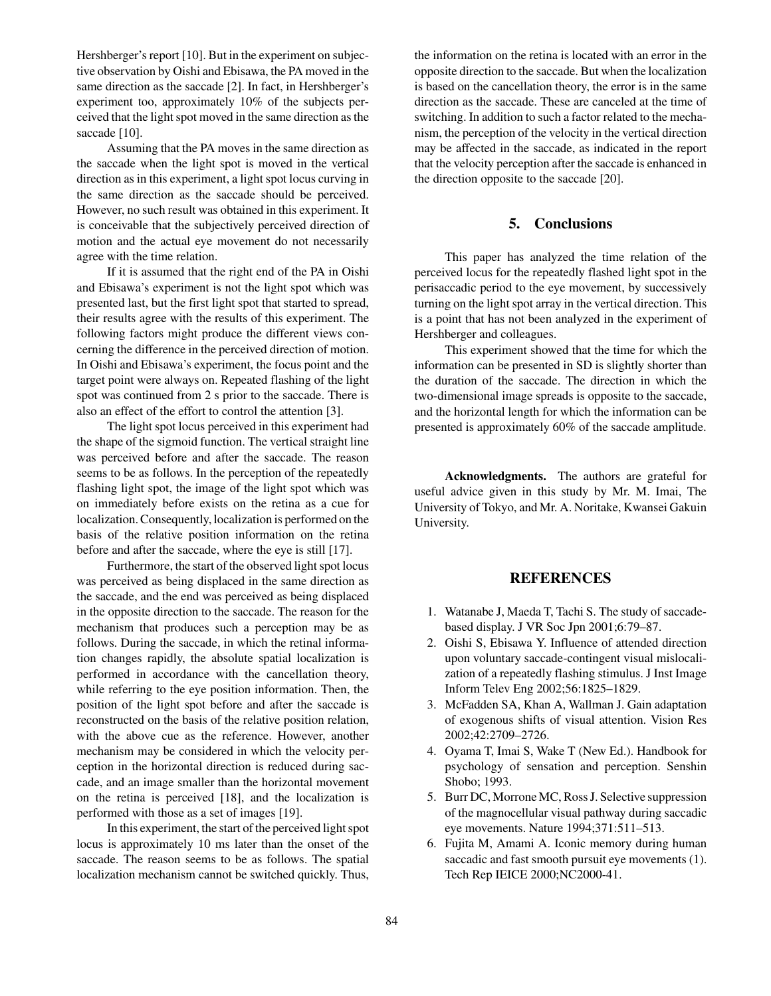Hershberger's report [10]. But in the experiment on subjective observation by Oishi and Ebisawa, the PA moved in the same direction as the saccade [2]. In fact, in Hershberger's experiment too, approximately 10% of the subjects perceived that the light spot moved in the same direction as the saccade [10].

Assuming that the PA moves in the same direction as the saccade when the light spot is moved in the vertical direction as in this experiment, a light spot locus curving in the same direction as the saccade should be perceived. However, no such result was obtained in this experiment. It is conceivable that the subjectively perceived direction of motion and the actual eye movement do not necessarily agree with the time relation.

If it is assumed that the right end of the PA in Oishi and Ebisawa's experiment is not the light spot which was presented last, but the first light spot that started to spread, their results agree with the results of this experiment. The following factors might produce the different views concerning the difference in the perceived direction of motion. In Oishi and Ebisawa's experiment, the focus point and the target point were always on. Repeated flashing of the light spot was continued from 2 s prior to the saccade. There is also an effect of the effort to control the attention [3].

The light spot locus perceived in this experiment had the shape of the sigmoid function. The vertical straight line was perceived before and after the saccade. The reason seems to be as follows. In the perception of the repeatedly flashing light spot, the image of the light spot which was on immediately before exists on the retina as a cue for localization. Consequently, localization is performed on the basis of the relative position information on the retina before and after the saccade, where the eye is still [17].

Furthermore, the start of the observed light spot locus was perceived as being displaced in the same direction as the saccade, and the end was perceived as being displaced in the opposite direction to the saccade. The reason for the mechanism that produces such a perception may be as follows. During the saccade, in which the retinal information changes rapidly, the absolute spatial localization is performed in accordance with the cancellation theory, while referring to the eye position information. Then, the position of the light spot before and after the saccade is reconstructed on the basis of the relative position relation, with the above cue as the reference. However, another mechanism may be considered in which the velocity perception in the horizontal direction is reduced during saccade, and an image smaller than the horizontal movement on the retina is perceived [18], and the localization is performed with those as a set of images [19].

In this experiment, the start of the perceived light spot locus is approximately 10 ms later than the onset of the saccade. The reason seems to be as follows. The spatial localization mechanism cannot be switched quickly. Thus, the information on the retina is located with an error in the opposite direction to the saccade. But when the localization is based on the cancellation theory, the error is in the same direction as the saccade. These are canceled at the time of switching. In addition to such a factor related to the mechanism, the perception of the velocity in the vertical direction may be affected in the saccade, as indicated in the report that the velocity perception after the saccade is enhanced in the direction opposite to the saccade [20].

# **5. Conclusions**

This paper has analyzed the time relation of the perceived locus for the repeatedly flashed light spot in the perisaccadic period to the eye movement, by successively turning on the light spot array in the vertical direction. This is a point that has not been analyzed in the experiment of Hershberger and colleagues.

This experiment showed that the time for which the information can be presented in SD is slightly shorter than the duration of the saccade. The direction in which the two-dimensional image spreads is opposite to the saccade, and the horizontal length for which the information can be presented is approximately 60% of the saccade amplitude.

**Acknowledgments.** The authors are grateful for useful advice given in this study by Mr. M. Imai, The University of Tokyo, and Mr. A. Noritake, Kwansei Gakuin University.

### **REFERENCES**

- 1. Watanabe J, Maeda T, Tachi S. The study of saccadebased display. J VR Soc Jpn 2001;6:79–87.
- 2. Oishi S, Ebisawa Y. Influence of attended direction upon voluntary saccade-contingent visual mislocalization of a repeatedly flashing stimulus. J Inst Image Inform Telev Eng 2002;56:1825–1829.
- 3. McFadden SA, Khan A, Wallman J. Gain adaptation of exogenous shifts of visual attention. Vision Res 2002;42:2709–2726.
- 4. Oyama T, Imai S, Wake T (New Ed.). Handbook for psychology of sensation and perception. Senshin Shobo; 1993.
- 5. Burr DC, Morrone MC, Ross J. Selective suppression of the magnocellular visual pathway during saccadic eye movements. Nature 1994;371:511–513.
- 6. Fujita M, Amami A. Iconic memory during human saccadic and fast smooth pursuit eye movements (1). Tech Rep IEICE 2000;NC2000-41.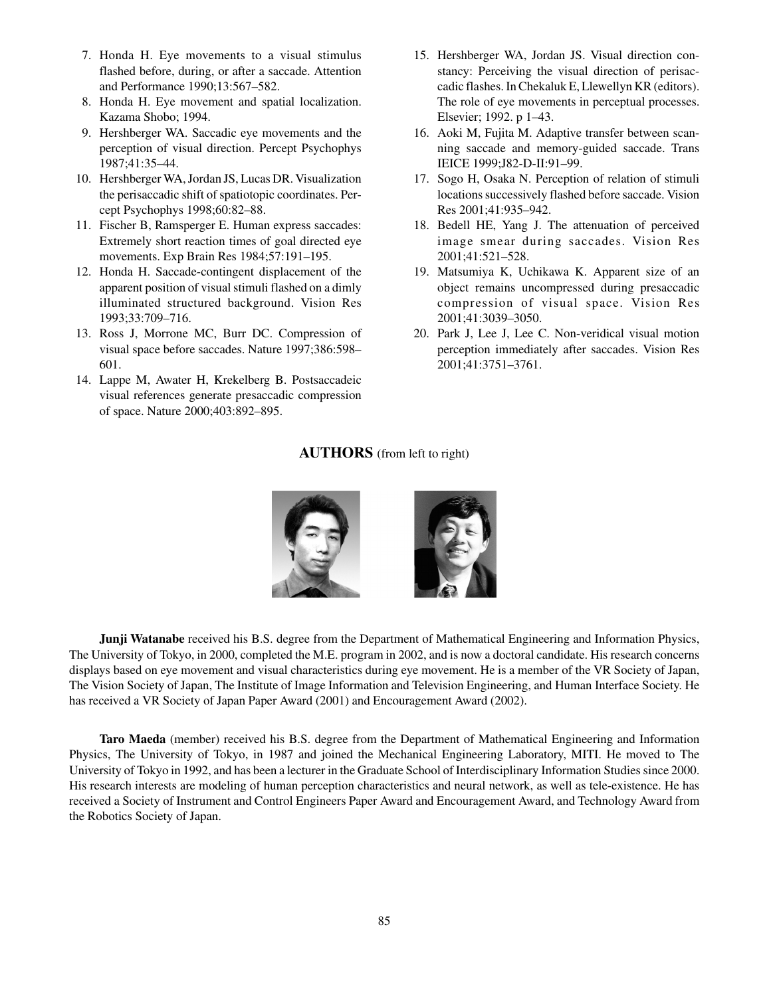- 7. Honda H. Eye movements to a visual stimulus flashed before, during, or after a saccade. Attention and Performance 1990;13:567–582.
- 8. Honda H. Eye movement and spatial localization. Kazama Shobo; 1994.
- 9. Hershberger WA. Saccadic eye movements and the perception of visual direction. Percept Psychophys 1987;41:35–44.
- 10. Hershberger WA, Jordan JS, Lucas DR. Visualization the perisaccadic shift of spatiotopic coordinates. Percept Psychophys 1998;60:82–88.
- 11. Fischer B, Ramsperger E. Human express saccades: Extremely short reaction times of goal directed eye movements. Exp Brain Res 1984;57:191–195.
- 12. Honda H. Saccade-contingent displacement of the apparent position of visual stimuli flashed on a dimly illuminated structured background. Vision Res 1993;33:709–716.
- 13. Ross J, Morrone MC, Burr DC. Compression of visual space before saccades. Nature 1997;386:598– 601.
- 14. Lappe M, Awater H, Krekelberg B. Postsaccadeic visual references generate presaccadic compression of space. Nature 2000;403:892–895.
- 15. Hershberger WA, Jordan JS. Visual direction constancy: Perceiving the visual direction of perisaccadic flashes. In Chekaluk E, Llewellyn KR (editors). The role of eye movements in perceptual processes. Elsevier; 1992. p 1–43.
- 16. Aoki M, Fujita M. Adaptive transfer between scanning saccade and memory-guided saccade. Trans IEICE 1999;J82-D-II:91–99.
- 17. Sogo H, Osaka N. Perception of relation of stimuli locations successively flashed before saccade. Vision Res 2001;41:935–942.
- 18. Bedell HE, Yang J. The attenuation of perceived image smear during saccades. Vision Res 2001;41:521–528.
- 19. Matsumiya K, Uchikawa K. Apparent size of an object remains uncompressed during presaccadic compression of visual space. Vision Res 2001;41:3039–3050.
- 20. Park J, Lee J, Lee C. Non-veridical visual motion perception immediately after saccades. Vision Res 2001;41:3751–3761.

# **AUTHORS** (from left to right)



**Junji Watanabe** received his B.S. degree from the Department of Mathematical Engineering and Information Physics, The University of Tokyo, in 2000, completed the M.E. program in 2002, and is now a doctoral candidate. His research concerns displays based on eye movement and visual characteristics during eye movement. He is a member of the VR Society of Japan, The Vision Society of Japan, The Institute of Image Information and Television Engineering, and Human Interface Society. He has received a VR Society of Japan Paper Award (2001) and Encouragement Award (2002).

**Taro Maeda** (member) received his B.S. degree from the Department of Mathematical Engineering and Information Physics, The University of Tokyo, in 1987 and joined the Mechanical Engineering Laboratory, MITI. He moved to The University of Tokyo in 1992, and has been a lecturer in the Graduate School of Interdisciplinary Information Studies since 2000. His research interests are modeling of human perception characteristics and neural network, as well as tele-existence. He has received a Society of Instrument and Control Engineers Paper Award and Encouragement Award, and Technology Award from the Robotics Society of Japan.